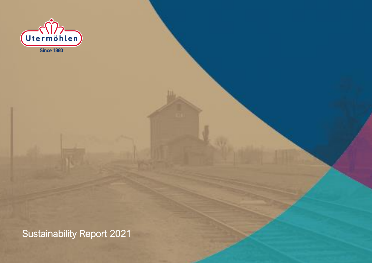

Sustainability Report 2021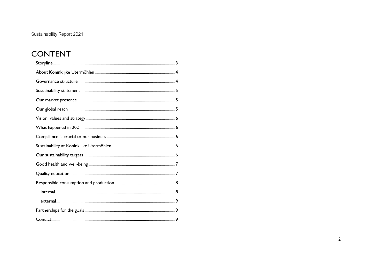#### Sustainability Report 2021

# CONTENT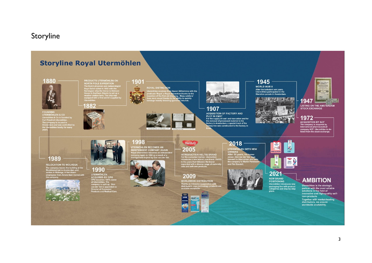#### <span id="page-2-0"></span>Storyline

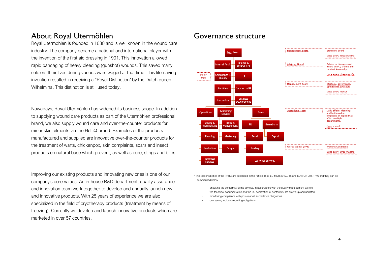#### <span id="page-3-0"></span>About Royal Utermöhlen

Royal Utermöhlen is founded in 1880 and is well known in the wound care industry. The company became a national and international player with the invention of the first aid dressing in 1901. This innovation allowed rapid bandaging of heavy bleeding (gunshot) wounds. This saved many soldiers their lives during various wars waged at that time. This life-saving invention resulted in receiving a "Royal Distinction" by the Dutch queen Wilhelmina. This distinction is still used today.

Nowadays, Royal Utermöhlen has widened its business scope. In addition to supplying wound care products as part of the Utermöhlen professional brand, we also supply wound care and over-the-counter products for minor skin ailments via the HeltiQ brand. Examples of the products manufactured and supplied are innovative over-the-counter products for the treatment of warts, chickenpox, skin complaints, scars and insect products on natural base which prevent, as well as cure, stings and bites.

Improving our existing products and innovating new ones is one of our company's core values. An in-house R&D department, quality assurance and innovation team work together to develop and annually launch new and innovative products. With 25 years of experience we are also specialized in the field of cryotherapy products (treatment by means of freezing). Currently we develop and launch innovative products which are marketed in over 57 countries.

#### <span id="page-3-1"></span>Governance structure



\* The responsibilities of the PRRC are described in the Article 15 of EU MDR 2017/745 and EU IVDR 2017/746 and they can be summarised below

- checking the conformity of the devices, in accordance with the quality management system

the technical documentation and the EU declaration of conformity are drawn up and updated

- monitoring compliance with post-market surveillance obligations
- overseeing incident reporting obligations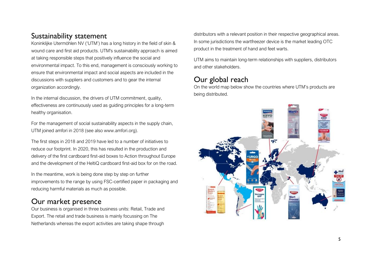## <span id="page-4-0"></span>Sustainability statement

Koninklijke Utermöhlen NV ('UTM') has a long history in the field of skin & wound care and first aid products. UTM's sustainability approach is aimed at taking responsible steps that positively influence the social and environmental impact. To this end, management is consciously working to ensure that environmental impact and social aspects are included in the discussions with suppliers and customers and to gear the internal organization accordingly.

In the internal discussion, the drivers of UTM commitment, quality, effectiveness are continuously used as guiding principles for a long-term healthy organisation.

For the management of social sustainability aspects in the supply chain, UTM joined amfori in 2018 (see also www.amfori.org).

The first steps in 2018 and 2019 have led to a number of initiatives to reduce our footprint. In 2020, this has resulted in the production and delivery of the first cardboard first-aid boxes to Action throughout Europe and the development of the HeltiQ cardboard first-aid box for on the road.

In the meantime, work is being done step by step on further improvements to the range by using FSC-certified paper in packaging and reducing harmful materials as much as possible.

## <span id="page-4-1"></span>Our market presence

Our business is organised in three business units: Retail, Trade and Export. The retail and trade business is mainly focussing on The Netherlands whereas the export activities are taking shape through distributors with a relevant position in their respective geographical areas. In some jurisdictions the wartfreezer device is the market leading OTC product in the treatment of hand and feet warts.

UTM aims to maintain long-term relationships with suppliers, distributors and other stakeholders.

## <span id="page-4-2"></span>Our global reach

On the world map below show the countries where UTM's products are being distributed.

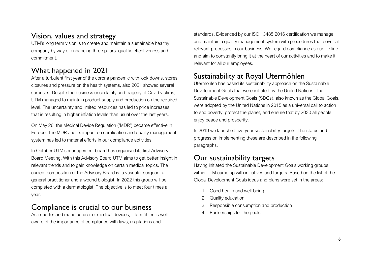## <span id="page-5-0"></span>Vision, values and strategy

UTM's long term vision is to create and maintain a sustainable healthy company by way of enhancing three pillars: quality, effectiveness and commitment.

## <span id="page-5-1"></span>What happened in 2021

After a turbulent first year of the corona pandemic with lock downs, stores closures and pressure on the health systems, also 2021 showed several surprises. Despite the business uncertainty and tragedy of Covid victims, UTM managed to maintain product supply and production on the required level. The uncertainty and limited resources has led to price increases that is resulting in higher inflation levels than usual over the last years.

On May 26, the Medical Device Regulation ('MDR') became effective in Europe. The MDR and its impact on certification and quality management system has led to material efforts in our compliance activities.

In October UTM's management board has organised its first Advisory Board Meeting. With this Advisory Board UTM aims to get better insight in relevant trends and to gain knowledge on certain medical topics. The current composition of the Advisory Board is: a vascular surgeon, a general practitioner and a wound biologist. In 2022 this group will be completed with a dermatologist. The objective is to meet four times a year.

## <span id="page-5-2"></span>Compliance is crucial to our business

As importer and manufacturer of medical devices, Utermöhlen is well aware of the importance of compliance with laws, regulations and

standards. Evidenced by our ISO 13485:2016 certification we manage and maintain a quality management system with procedures that cover all relevant processes in our business. We regard compliance as our life line and aim to constantly bring it at the heart of our activities and to make it relevant for all our employees.

## <span id="page-5-3"></span>Sustainability at Royal Utermöhlen

Utermöhlen has based its sustainability approach on the Sustainable Development Goals that were initiated by the United Nations. The Sustainable Development Goals (SDGs), also known as the Global Goals, were adopted by the United Nations in 2015 as a universal call to action to end poverty, protect the planet, and ensure that by 2030 all people enjoy peace and prosperity.

In 2019 we launched five-year sustainability targets. The status and progress on implementing these are described in the following paragraphs.

## <span id="page-5-4"></span>Our sustainability targets

Having initiated the Sustainable Development Goals working groups within UTM came up with initiatives and targets. Based on the list of the Global Development Goals ideas and plans were set in the areas:

- 1. Good health and well-being
- 2. Quality education
- 3. Responsible consumption and production
- 4. Partnerships for the goals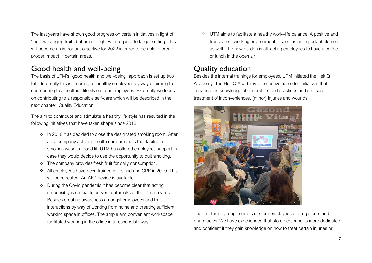The last years have shown good progress on certain initiatives in light of 'the low hanging fruit', but are still light with regards to target setting. This will become an important objective for 2022 in order to be able to create proper impact in certain areas.

## <span id="page-6-0"></span>Good health and well-being

The basis of UTM's "good health and well-being" approach is set up two fold. Internally this is focusing on healthy employees by way of aiming to contributing to a healthier life style of our employees. Externally we focus on contributing to a responsible self-care which will be described in the next chapter 'Quality Education'.

The aim to contribute and stimulate a healthy life style has resulted in the following initiatives that have taken shape since 2018:

- ❖ In 2018 it as decided to close the designated smoking room. After all, a company active in health care products that facilitates smoking wasn't a good fit. UTM has offered employees support in case they would decide to use the opportunity to quit smoking.
- ❖ The company provides fresh fruit for daily consumption.
- ❖ All employees have been trained in first aid and CPR in 2019. This will be repeated. An AED device is available.
- ❖ During the Covid pandemic it has become clear that acting responsibly is crucial to prevent outbreaks of the Corona virus. Besides creating awareness amongst employees and limit interactions by way of working from home and creating sufficient working space in offices. The ample and convenient workspace facilitated working in the office in a responsible way.

❖ UTM aims to facilitate a healthy work–life balance. A positive and transparent working environment is seen as an important element as well. The new garden is attracting employees to have a coffee or lunch in the open air.

## <span id="page-6-1"></span>Quality education

Besides the internal trainings for employees, UTM initiated the HeltiQ Academy. The HeltiQ Academy is collective name for initiatives that enhance the knowledge of general first aid practices and self-care treatment of inconveniences, (minor) injuries and wounds.



The first target group consists of store employees of drug stores and pharmacies. We have experienced that store personnel is more dedicated and confident if they gain knowledge on how to treat certain injuries or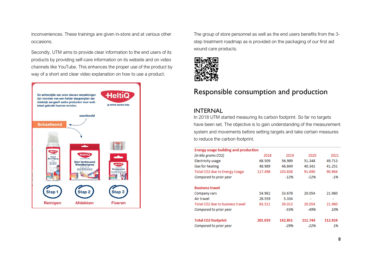inconveniences. These trainings are given in-store and at various other occasions.

Secondly, UTM aims to provide clear information to the end users of its products by providing self-care information on its website and on video channels like YouTube. This enhances the proper use of the product by way of a short and clear video explanation on how to use a product.



The group of store personnel as well as the end users benefits from the 3 step treatment roadmap as is provided on the packaging of our first aid wound care products.



## <span id="page-7-0"></span>Responsible consumption and production

#### <span id="page-7-1"></span>INTERNAL

In 2018 UTM started measuring its carbon footprint. So far no targets have been set. The objective is to gain understanding of the measurement system and movements before setting targets and take certain measures to reduce the carbon footprint.

| <b>Energy usage building and production</b> |         |         |         |         |  |
|---------------------------------------------|---------|---------|---------|---------|--|
| (in kilo grams CO2)                         | 2018    | 2019    | 2020    | 2021    |  |
| Electricity usage                           | 68.509  | 56.989  | 51.348  | 49.713  |  |
| Gas for heating                             | 48.989  | 46.849  | 40.342  | 41.251  |  |
| Total CO2 due to Energy Usage               | 117.498 | 103.838 | 91.690  | 90.964  |  |
| Compared to prior year                      |         | $-12%$  | $-12%$  | $-1%$   |  |
| <b>Business travel</b>                      |         |         |         |         |  |
| Company cars                                | 54.962  | 33.678  | 20.054  | 21.960  |  |
| Air travel                                  | 28.559  | 5.334   |         |         |  |
| Total CO2 due to business travel            | 83.521  | 39.013  | 20.054  | 21.960  |  |
| Compared to prior year                      |         | -53%    | -49%    | 10%     |  |
| <b>Total CO2 footprint</b>                  | 201.019 | 142.851 | 111.744 | 112.924 |  |
| Compared to prior year                      |         | -29%    | $-22%$  | 1%      |  |